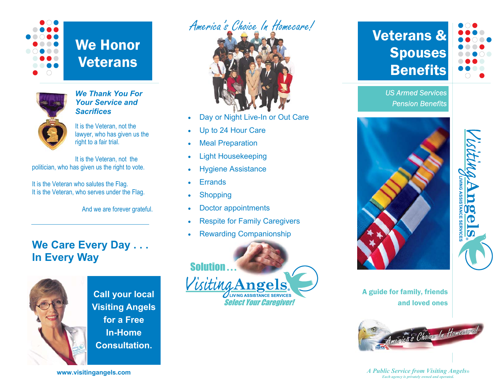

We Honor Veterans



#### *We Thank You For Your Service and Sacrifices*

It is the Veteran, not the lawyer, who has given us the right to a fair trial.

It is the Veteran, not the politician, who has given us the right to vote.

It is the Veteran who salutes the Flag. It is the Veteran, who serves under the Flag.

And we are forever grateful.

## **We Care Every Day . . . In Every Way**



**Call your local Visiting Angels for a Free In-Home Consultation.** 

# America's Choice In Homecare!



- Day or Night Live-In or Out Care
- Up to 24 Hour Care
- **Meal Preparation**
- Light Housekeeping
- Hygiene Assistance
- **Errands**
- **Shopping**
- Doctor appointments
- **Respite for Family Caregivers**
- Rewarding Companionship



# Veterans & **Spouses** Benefits



*US Armed Services Pension Benefits* 





A guide for family, friends and loved ones



*A Public Service from Visiting Angels® Each agency is privately owned and operated.*

**www.visitingangels.com**